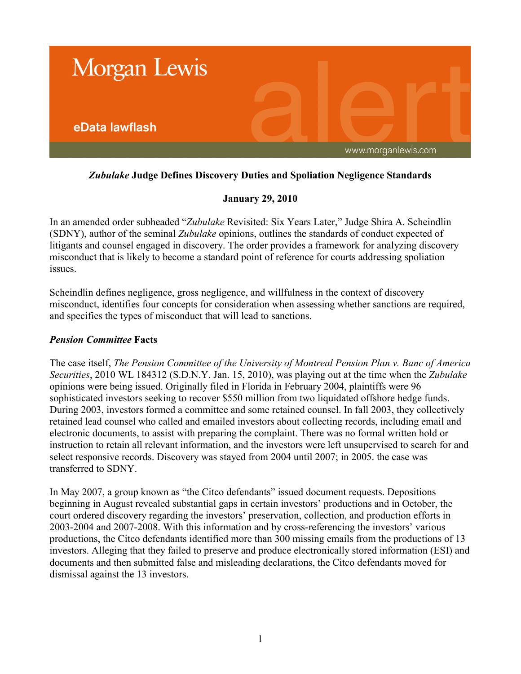

# *Zubulake* **Judge Defines Discovery Duties and Spoliation Negligence Standards**

## **January 29, 2010**

In an amended order subheaded "*Zubulake* Revisited: Six Years Later," Judge Shira A. Scheindlin (SDNY), author of the seminal *Zubulake* opinions, outlines the standards of conduct expected of litigants and counsel engaged in discovery. The order provides a framework for analyzing discovery misconduct that is likely to become a standard point of reference for courts addressing spoliation issues.

Scheindlin defines negligence, gross negligence, and willfulness in the context of discovery misconduct, identifies four concepts for consideration when assessing whether sanctions are required, and specifies the types of misconduct that will lead to sanctions.

#### *Pension Committee* **Facts**

The case itself, *The Pension Committee of the University of Montreal Pension Plan v. Banc of America Securities*, 2010 WL 184312 (S.D.N.Y. Jan. 15, 2010), was playing out at the time when the *Zubulake* opinions were being issued. Originally filed in Florida in February 2004, plaintiffs were 96 sophisticated investors seeking to recover \$550 million from two liquidated offshore hedge funds. During 2003, investors formed a committee and some retained counsel. In fall 2003, they collectively retained lead counsel who called and emailed investors about collecting records, including email and electronic documents, to assist with preparing the complaint. There was no formal written hold or instruction to retain all relevant information, and the investors were left unsupervised to search for and select responsive records. Discovery was stayed from 2004 until 2007; in 2005. the case was transferred to SDNY.

In May 2007, a group known as "the Citco defendants" issued document requests. Depositions beginning in August revealed substantial gaps in certain investors' productions and in October, the court ordered discovery regarding the investors' preservation, collection, and production efforts in 2003-2004 and 2007-2008. With this information and by cross-referencing the investors' various productions, the Citco defendants identified more than 300 missing emails from the productions of 13 investors. Alleging that they failed to preserve and produce electronically stored information (ESI) and documents and then submitted false and misleading declarations, the Citco defendants moved for dismissal against the 13 investors.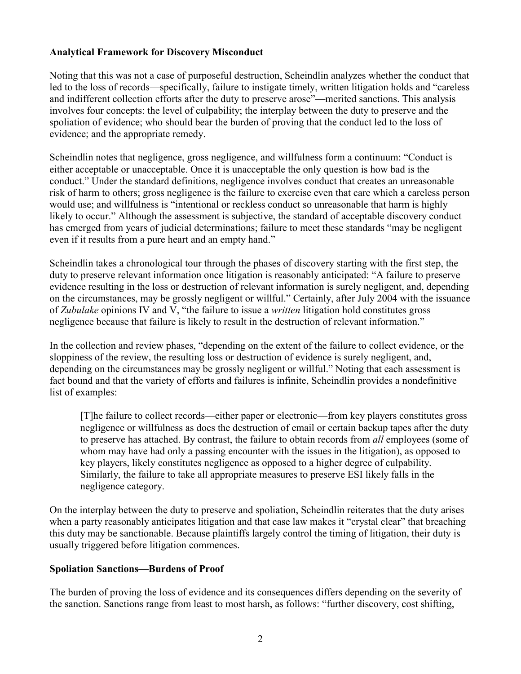## **Analytical Framework for Discovery Misconduct**

Noting that this was not a case of purposeful destruction, Scheindlin analyzes whether the conduct that led to the loss of records—specifically, failure to instigate timely, written litigation holds and "careless and indifferent collection efforts after the duty to preserve arose"—merited sanctions. This analysis involves four concepts: the level of culpability; the interplay between the duty to preserve and the spoliation of evidence; who should bear the burden of proving that the conduct led to the loss of evidence; and the appropriate remedy.

Scheindlin notes that negligence, gross negligence, and willfulness form a continuum: "Conduct is either acceptable or unacceptable. Once it is unacceptable the only question is how bad is the conduct." Under the standard definitions, negligence involves conduct that creates an unreasonable risk of harm to others; gross negligence is the failure to exercise even that care which a careless person would use; and willfulness is "intentional or reckless conduct so unreasonable that harm is highly likely to occur." Although the assessment is subjective, the standard of acceptable discovery conduct has emerged from years of judicial determinations; failure to meet these standards "may be negligent even if it results from a pure heart and an empty hand."

Scheindlin takes a chronological tour through the phases of discovery starting with the first step, the duty to preserve relevant information once litigation is reasonably anticipated: "A failure to preserve evidence resulting in the loss or destruction of relevant information is surely negligent, and, depending on the circumstances, may be grossly negligent or willful." Certainly, after July 2004 with the issuance of *Zubulake* opinions IV and V, "the failure to issue a *written* litigation hold constitutes gross negligence because that failure is likely to result in the destruction of relevant information."

In the collection and review phases, "depending on the extent of the failure to collect evidence, or the sloppiness of the review, the resulting loss or destruction of evidence is surely negligent, and, depending on the circumstances may be grossly negligent or willful." Noting that each assessment is fact bound and that the variety of efforts and failures is infinite, Scheindlin provides a nondefinitive list of examples:

[T]he failure to collect records—either paper or electronic—from key players constitutes gross negligence or willfulness as does the destruction of email or certain backup tapes after the duty to preserve has attached. By contrast, the failure to obtain records from *all* employees (some of whom may have had only a passing encounter with the issues in the litigation), as opposed to key players, likely constitutes negligence as opposed to a higher degree of culpability. Similarly, the failure to take all appropriate measures to preserve ESI likely falls in the negligence category.

On the interplay between the duty to preserve and spoliation, Scheindlin reiterates that the duty arises when a party reasonably anticipates litigation and that case law makes it "crystal clear" that breaching this duty may be sanctionable. Because plaintiffs largely control the timing of litigation, their duty is usually triggered before litigation commences.

#### **Spoliation Sanctions—Burdens of Proof**

The burden of proving the loss of evidence and its consequences differs depending on the severity of the sanction. Sanctions range from least to most harsh, as follows: "further discovery, cost shifting,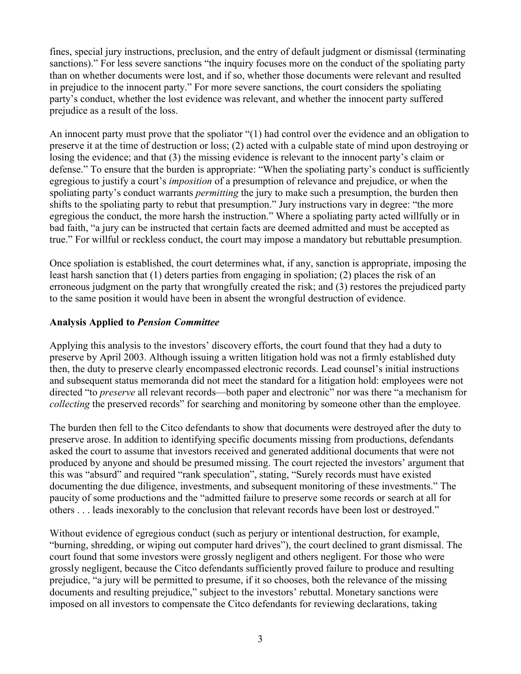fines, special jury instructions, preclusion, and the entry of default judgment or dismissal (terminating sanctions)." For less severe sanctions "the inquiry focuses more on the conduct of the spoliating party than on whether documents were lost, and if so, whether those documents were relevant and resulted in prejudice to the innocent party." For more severe sanctions, the court considers the spoliating party's conduct, whether the lost evidence was relevant, and whether the innocent party suffered prejudice as a result of the loss.

An innocent party must prove that the spoliator "(1) had control over the evidence and an obligation to preserve it at the time of destruction or loss; (2) acted with a culpable state of mind upon destroying or losing the evidence; and that (3) the missing evidence is relevant to the innocent party's claim or defense." To ensure that the burden is appropriate: "When the spoliating party's conduct is sufficiently egregious to justify a court's *imposition* of a presumption of relevance and prejudice, or when the spoliating party's conduct warrants *permitting* the jury to make such a presumption, the burden then shifts to the spoliating party to rebut that presumption." Jury instructions vary in degree: "the more egregious the conduct, the more harsh the instruction." Where a spoliating party acted willfully or in bad faith, "a jury can be instructed that certain facts are deemed admitted and must be accepted as true." For willful or reckless conduct, the court may impose a mandatory but rebuttable presumption.

Once spoliation is established, the court determines what, if any, sanction is appropriate, imposing the least harsh sanction that (1) deters parties from engaging in spoliation; (2) places the risk of an erroneous judgment on the party that wrongfully created the risk; and (3) restores the prejudiced party to the same position it would have been in absent the wrongful destruction of evidence.

## **Analysis Applied to** *Pension Committee*

Applying this analysis to the investors' discovery efforts, the court found that they had a duty to preserve by April 2003. Although issuing a written litigation hold was not a firmly established duty then, the duty to preserve clearly encompassed electronic records. Lead counsel's initial instructions and subsequent status memoranda did not meet the standard for a litigation hold: employees were not directed "to *preserve* all relevant records—both paper and electronic" nor was there "a mechanism for *collecting* the preserved records" for searching and monitoring by someone other than the employee.

The burden then fell to the Citco defendants to show that documents were destroyed after the duty to preserve arose. In addition to identifying specific documents missing from productions, defendants asked the court to assume that investors received and generated additional documents that were not produced by anyone and should be presumed missing. The court rejected the investors' argument that this was "absurd" and required "rank speculation", stating, "Surely records must have existed documenting the due diligence, investments, and subsequent monitoring of these investments." The paucity of some productions and the "admitted failure to preserve some records or search at all for others . . . leads inexorably to the conclusion that relevant records have been lost or destroyed."

Without evidence of egregious conduct (such as perjury or intentional destruction, for example, "burning, shredding, or wiping out computer hard drives"), the court declined to grant dismissal. The court found that some investors were grossly negligent and others negligent. For those who were grossly negligent, because the Citco defendants sufficiently proved failure to produce and resulting prejudice, "a jury will be permitted to presume, if it so chooses, both the relevance of the missing documents and resulting prejudice," subject to the investors' rebuttal. Monetary sanctions were imposed on all investors to compensate the Citco defendants for reviewing declarations, taking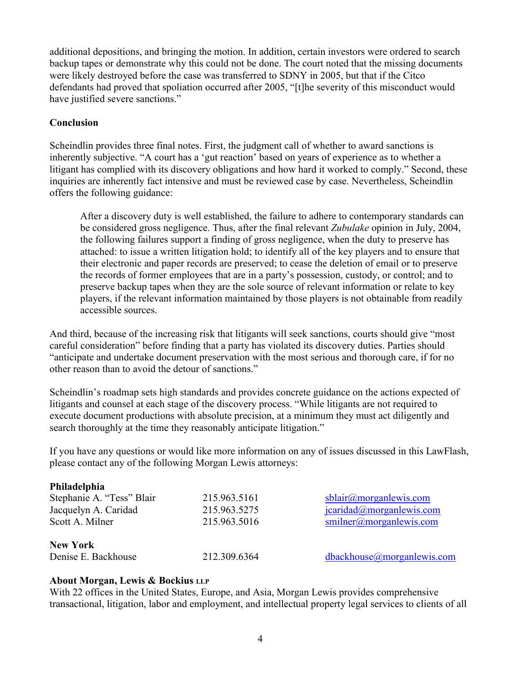additional depositions, and bringing the motion. In addition, certain investors were ordered to search backup tapes or demonstrate why this could not be done. The court noted that the missing documents were likely destroyed before the case was transferred to SDNY in 2005, but that if the Citco defendants had proved that spoliation occurred after 2005, "[t]he severity of this misconduct would have justified severe sanctions."

### **Conclusion**

Scheindlin provides three final notes. First, the judgment call of whether to award sanctions is inherently subjective. "A court has a 'gut reaction' based on years of experience as to whether a litigant has complied with its discovery obligations and how hard it worked to comply." Second, these inquiries are inherently fact intensive and must be reviewed case by case. Nevertheless, Scheindlin offers the following guidance:

After a discovery duty is well established, the failure to adhere to contemporary standards can be considered gross negligence. Thus, after the final relevant *Zubulake* opinion in July, 2004, the following failures support a finding of gross negligence, when the duty to preserve has attached: to issue a written litigation hold; to identify all of the key players and to ensure that their electronic and paper records are preserved; to cease the deletion of email or to preserve the records of former employees that are in a party's possession, custody, or control; and to preserve backup tapes when they are the sole source of relevant information or relate to key players, if the relevant information maintained by those players is not obtainable from readily accessible sources.

And third, because of the increasing risk that litigants will seek sanctions, courts should give "most careful consideration" before finding that a party has violated its discovery duties. Parties should "anticipate and undertake document preservation with the most serious and thorough care, if for no other reason than to avoid the detour of sanctions."

Scheindlin's roadmap sets high standards and provides concrete guidance on the actions expected of litigants and counsel at each stage of the discovery process. "While litigants are not required to execute document productions with absolute precision, at a minimum they must act diligently and search thoroughly at the time they reasonably anticipate litigation."

If you have any questions or would like more information on any of issues discussed in this LawFlash, please contact any of the following Morgan Lewis attorneys:

#### **Philadelphia**

| Stephanie A. "Tess" Blair | 215.963.5161 | $\text{b}$ lair@morganlewis.com |
|---------------------------|--------------|---------------------------------|
| Jacquelyn A. Caridad      | 215.963.5275 | icaridad@morganlewis.com        |
| Scott A. Milner           | 215.963.5016 | smlner@morganlewis.com          |
| <b>New York</b>           |              |                                 |
| Denise E. Backhouse       | 212.309.6364 | dbackhouse@morganlewis.com      |

## **About Morgan, Lewis & Bockius LLP**

With 22 offices in the United States, Europe, and Asia, Morgan Lewis provides comprehensive transactional, litigation, labor and employment, and intellectual property legal services to clients of all